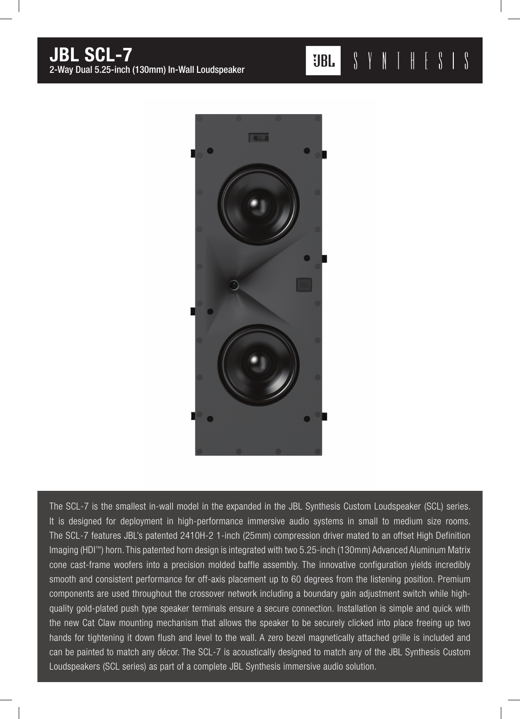

The SCL-7 is the smallest in-wall model in the expanded in the JBL Synthesis Custom Loudspeaker (SCL) series. It is designed for deployment in high-performance immersive audio systems in small to medium size rooms. The SCL-7 features JBL's patented 2410H-2 1-inch (25mm) compression driver mated to an offset High Definition Imaging (HDI™) horn. This patented horn design is integrated with two 5.25-inch (130mm) Advanced Aluminum Matrix cone cast-frame woofers into a precision molded baffle assembly. The innovative configuration yields incredibly smooth and consistent performance for off-axis placement up to 60 degrees from the listening position. Premium components are used throughout the crossover network including a boundary gain adjustment switch while highquality gold-plated push type speaker terminals ensure a secure connection. Installation is simple and quick with the new Cat Claw mounting mechanism that allows the speaker to be securely clicked into place freeing up two hands for tightening it down flush and level to the wall. A zero bezel magnetically attached grille is included and can be painted to match any décor. The SCL-7 is acoustically designed to match any of the JBL Synthesis Custom Loudspeakers (SCL series) as part of a complete JBL Synthesis immersive audio solution.